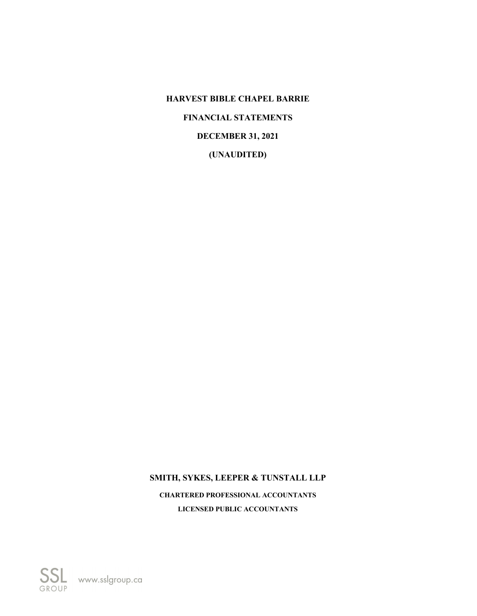# **SMITH, SYKES, LEEPER & TUNSTALL LLP**

**CHARTERED PROFESSIONAL ACCOUNTANTS LICENSED PUBLIC ACCOUNTANTS**

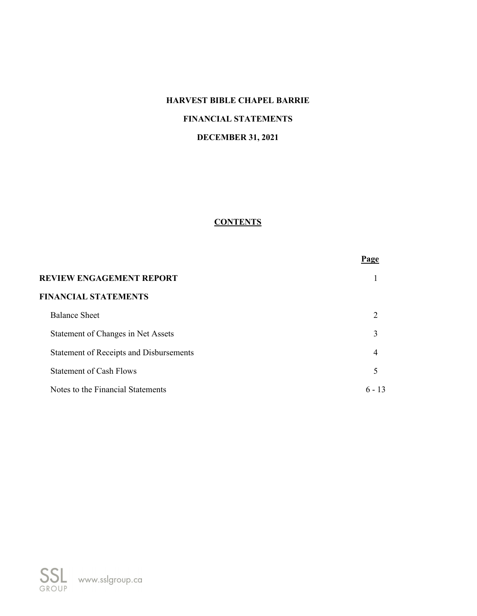# **HARVEST BIBLE CHAPEL BARRIE FINANCIAL STATEMENTS DECEMBER 31, 2021**

# **CONTENTS**

|                                                | Page           |
|------------------------------------------------|----------------|
| <b>REVIEW ENGAGEMENT REPORT</b>                |                |
| <b>FINANCIAL STATEMENTS</b>                    |                |
| <b>Balance Sheet</b>                           | $\mathfrak{D}$ |
| Statement of Changes in Net Assets             | 3              |
| <b>Statement of Receipts and Disbursements</b> | 4              |
| <b>Statement of Cash Flows</b>                 | 5              |
| Notes to the Financial Statements              | $6 - 13$       |

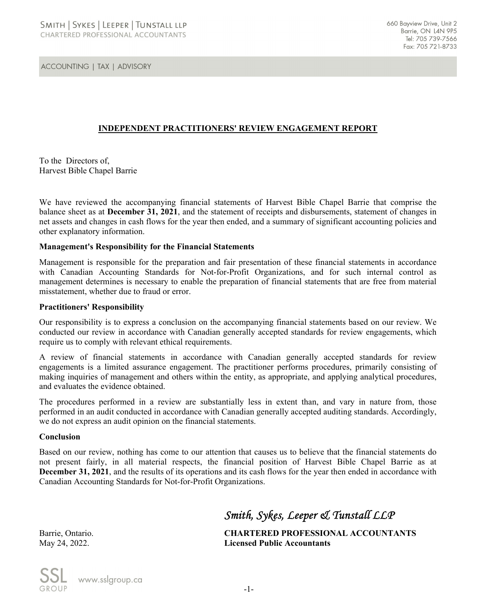**ACCOUNTING | TAX | ADVISORY** 

# **INDEPENDENT PRACTITIONERS' REVIEW ENGAGEMENT REPORT**

To the Directors of, Harvest Bible Chapel Barrie

We have reviewed the accompanying financial statements of Harvest Bible Chapel Barrie that comprise the balance sheet as at **December 31, 2021**, and the statement of receipts and disbursements, statement of changes in net assets and changes in cash flows for the year then ended, and a summary of significant accounting policies and other explanatory information.

## **Management's Responsibility for the Financial Statements**

Management is responsible for the preparation and fair presentation of these financial statements in accordance with Canadian Accounting Standards for Not-for-Profit Organizations, and for such internal control as management determines is necessary to enable the preparation of financial statements that are free from material misstatement, whether due to fraud or error.

#### **Practitioners' Responsibility**

Our responsibility is to express a conclusion on the accompanying financial statements based on our review. We conducted our review in accordance with Canadian generally accepted standards for review engagements, which require us to comply with relevant ethical requirements.

A review of financial statements in accordance with Canadian generally accepted standards for review engagements is a limited assurance engagement. The practitioner performs procedures, primarily consisting of making inquiries of management and others within the entity, as appropriate, and applying analytical procedures, and evaluates the evidence obtained.

The procedures performed in a review are substantially less in extent than, and vary in nature from, those performed in an audit conducted in accordance with Canadian generally accepted auditing standards. Accordingly, we do not express an audit opinion on the financial statements.

#### **Conclusion**

Based on our review, nothing has come to our attention that causes us to believe that the financial statements do not present fairly, in all material respects, the financial position of Harvest Bible Chapel Barrie as at **December 31, 2021**, and the results of its operations and its cash flows for the year then ended in accordance with Canadian Accounting Standards for Not-for-Profit Organizations.

# *Smith, Sykes, Leeper & Tunstall LLP*

Barrie, Ontario. **CHARTERED PROFESSIONAL ACCOUNTANTS** May 24, 2022. **Licensed Public Accountants**

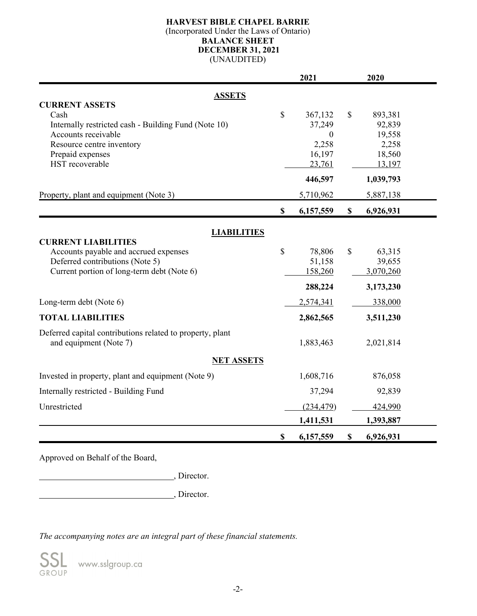# **HARVEST BIBLE CHAPEL BARRIE**

(Incorporated Under the Laws of Ontario)

# **BALANCE SHEET**

**DECEMBER 31, 2021**

(UNAUDITED)

|                                                           |    | 2021             |                           | 2020      |
|-----------------------------------------------------------|----|------------------|---------------------------|-----------|
| <b>ASSETS</b>                                             |    |                  |                           |           |
| <b>CURRENT ASSETS</b>                                     |    |                  |                           |           |
| Cash                                                      | \$ | 367,132          | \$                        | 893,381   |
| Internally restricted cash - Building Fund (Note 10)      |    | 37,249           |                           | 92,839    |
| Accounts receivable                                       |    | $\boldsymbol{0}$ |                           | 19,558    |
| Resource centre inventory                                 |    | 2,258            |                           | 2,258     |
| Prepaid expenses                                          |    | 16,197           |                           | 18,560    |
| HST recoverable                                           |    | 23,761           |                           | 13,197    |
|                                                           |    | 446,597          |                           | 1,039,793 |
| Property, plant and equipment (Note 3)                    |    | 5,710,962        |                           | 5,887,138 |
|                                                           | \$ | 6,157,559        | $\mathbb{S}$              | 6,926,931 |
|                                                           |    |                  |                           |           |
| <b>LIABILITIES</b><br><b>CURRENT LIABILITIES</b>          |    |                  |                           |           |
| Accounts payable and accrued expenses                     | \$ | 78,806           | \$                        | 63,315    |
| Deferred contributions (Note 5)                           |    | 51,158           |                           | 39,655    |
| Current portion of long-term debt (Note 6)                |    | 158,260          |                           | 3,070,260 |
|                                                           |    | 288,224          |                           | 3,173,230 |
| Long-term debt (Note 6)                                   |    | 2,574,341        |                           | 338,000   |
|                                                           |    |                  |                           |           |
| <b>TOTAL LIABILITIES</b>                                  |    | 2,862,565        |                           | 3,511,230 |
| Deferred capital contributions related to property, plant |    |                  |                           |           |
| and equipment (Note 7)                                    |    | 1,883,463        |                           | 2,021,814 |
| <b>NET ASSETS</b>                                         |    |                  |                           |           |
| Invested in property, plant and equipment (Note 9)        |    | 1,608,716        |                           | 876,058   |
| Internally restricted - Building Fund                     |    | 37,294           |                           | 92,839    |
| Unrestricted                                              |    | (234, 479)       |                           | 424,990   |
|                                                           |    | 1,411,531        |                           | 1,393,887 |
|                                                           | \$ | 6,157,559        | $\boldsymbol{\mathsf{S}}$ | 6,926,931 |

Approved on Behalf of the Board,

**Solution**, Director.

, Director.

*The accompanying notes are an integral part of these financial statements.*

www.sslgroup.ca GROUP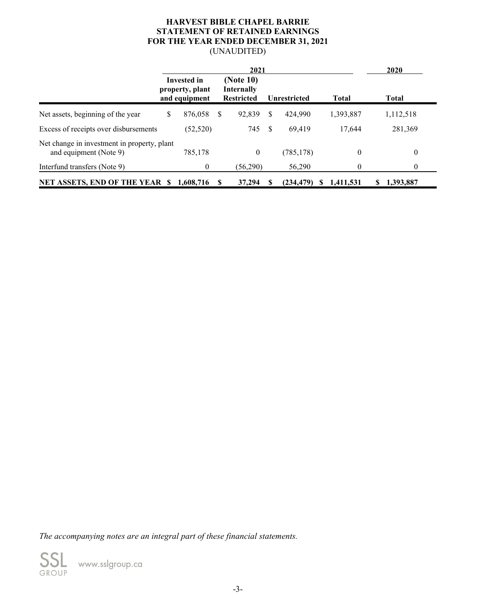## **HARVEST BIBLE CHAPEL BARRIE STATEMENT OF RETAINED EARNINGS FOR THE YEAR ENDED DECEMBER 31, 2021** (UNAUDITED)

|                                                                       | 2021 |                                                        |          |                                                     |     |                     |              | 2020         |
|-----------------------------------------------------------------------|------|--------------------------------------------------------|----------|-----------------------------------------------------|-----|---------------------|--------------|--------------|
|                                                                       |      | <b>Invested in</b><br>property, plant<br>and equipment |          | (Note 10)<br><b>Internally</b><br><b>Restricted</b> |     | <b>Unrestricted</b> | <b>Total</b> | <b>Total</b> |
| Net assets, beginning of the year                                     | \$   | 876,058                                                | <b>S</b> | 92,839                                              | \$. | 424,990             | 1,393,887    | 1,112,518    |
| Excess of receipts over disbursements                                 |      | (52, 520)                                              |          | 745                                                 | S   | 69.419              | 17,644       | 281,369      |
| Net change in investment in property, plant<br>and equipment (Note 9) |      | 785,178                                                |          | 0                                                   |     | (785, 178)          | 0            | $\Omega$     |
| Interfund transfers (Note 9)                                          |      | 0                                                      |          | (56,290)                                            |     | 56,290              | 0            | $\Omega$     |
| <b>NET ASSETS, END OF THE YEAR \$</b>                                 |      | 1,608,716                                              | S        | 37,294                                              |     | (234, 479)<br>ъ     | 1,411,531    | 1,393,887    |

*The accompanying notes are an integral part of these financial statements.*



www.sslgroup.ca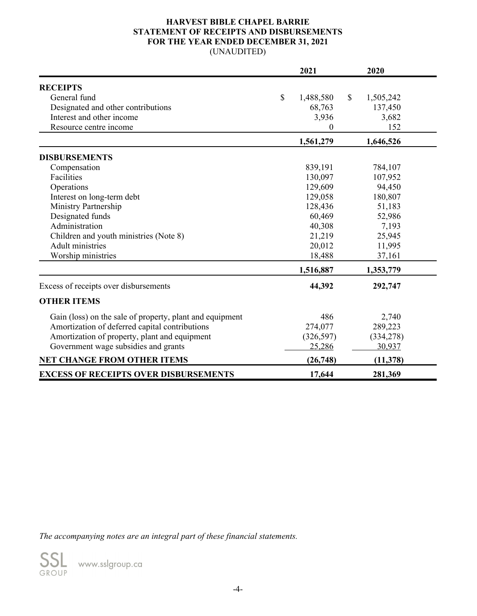## **HARVEST BIBLE CHAPEL BARRIE STATEMENT OF RECEIPTS AND DISBURSEMENTS FOR THE YEAR ENDED DECEMBER 31, 2021** (UNAUDITED)

|                                                          |                           | 2021       |              | 2020       |  |
|----------------------------------------------------------|---------------------------|------------|--------------|------------|--|
| <b>RECEIPTS</b>                                          |                           |            |              |            |  |
| General fund                                             | $\boldsymbol{\mathsf{S}}$ | 1,488,580  | $\mathbb{S}$ | 1,505,242  |  |
| Designated and other contributions                       |                           | 68,763     |              | 137,450    |  |
| Interest and other income                                |                           | 3,936      |              | 3,682      |  |
| Resource centre income                                   |                           | 0          |              | 152        |  |
|                                                          |                           | 1,561,279  |              | 1,646,526  |  |
| <b>DISBURSEMENTS</b>                                     |                           |            |              |            |  |
| Compensation                                             |                           | 839,191    |              | 784,107    |  |
| Facilities                                               |                           | 130,097    |              | 107,952    |  |
| Operations                                               |                           | 129,609    |              | 94,450     |  |
| Interest on long-term debt                               |                           | 129,058    |              | 180,807    |  |
| Ministry Partnership                                     |                           | 128,436    |              | 51,183     |  |
| Designated funds                                         |                           | 60,469     |              | 52,986     |  |
| Administration                                           |                           | 40,308     |              | 7,193      |  |
| Children and youth ministries (Note 8)                   |                           | 21,219     |              | 25,945     |  |
| <b>Adult ministries</b>                                  |                           | 20,012     |              | 11,995     |  |
| Worship ministries                                       |                           | 18,488     |              | 37,161     |  |
|                                                          |                           | 1,516,887  |              | 1,353,779  |  |
| Excess of receipts over disbursements                    |                           | 44,392     |              | 292,747    |  |
| <b>OTHER ITEMS</b>                                       |                           |            |              |            |  |
| Gain (loss) on the sale of property, plant and equipment |                           | 486        |              | 2,740      |  |
| Amortization of deferred capital contributions           |                           | 274,077    |              | 289,223    |  |
| Amortization of property, plant and equipment            |                           | (326, 597) |              | (334, 278) |  |
| Government wage subsidies and grants                     |                           | 25,286     |              | 30,937     |  |
| <b>NET CHANGE FROM OTHER ITEMS</b>                       |                           | (26,748)   |              | (11, 378)  |  |
| <b>EXCESS OF RECEIPTS OVER DISBURSEMENTS</b>             |                           | 17,644     |              | 281,369    |  |

*The accompanying notes are an integral part of these financial statements.*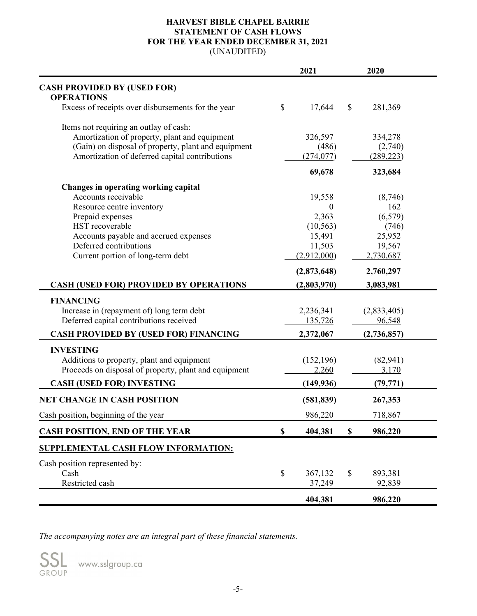## **HARVEST BIBLE CHAPEL BARRIE STATEMENT OF CASH FLOWS FOR THE YEAR ENDED DECEMBER 31, 2021** (UNAUDITED)

|                                                         |               | 2021             |               | 2020        |  |
|---------------------------------------------------------|---------------|------------------|---------------|-------------|--|
| <b>CASH PROVIDED BY (USED FOR)</b><br><b>OPERATIONS</b> |               |                  |               |             |  |
| Excess of receipts over disbursements for the year      | $\mathcal{S}$ | 17,644           | $\mathcal{S}$ | 281,369     |  |
| Items not requiring an outlay of cash:                  |               |                  |               |             |  |
| Amortization of property, plant and equipment           |               | 326,597          |               | 334,278     |  |
| (Gain) on disposal of property, plant and equipment     |               | (486)            |               | (2,740)     |  |
| Amortization of deferred capital contributions          |               | (274, 077)       |               | (289, 223)  |  |
|                                                         |               | 69,678           |               | 323,684     |  |
| Changes in operating working capital                    |               |                  |               |             |  |
| Accounts receivable                                     |               | 19,558           |               | (8,746)     |  |
| Resource centre inventory                               |               | $\boldsymbol{0}$ |               | 162         |  |
| Prepaid expenses                                        |               | 2,363            |               | (6, 579)    |  |
| HST recoverable                                         |               | (10, 563)        |               | (746)       |  |
| Accounts payable and accrued expenses                   |               | 15,491           |               | 25,952      |  |
| Deferred contributions                                  |               | 11,503           |               | 19,567      |  |
| Current portion of long-term debt                       |               | (2,912,000)      |               | 2,730,687   |  |
|                                                         |               | (2,873,648)      |               | 2,760,297   |  |
| <b>CASH (USED FOR) PROVIDED BY OPERATIONS</b>           |               | (2,803,970)      |               | 3,083,981   |  |
| <b>FINANCING</b>                                        |               |                  |               |             |  |
| Increase in (repayment of) long term debt               |               | 2,236,341        |               | (2,833,405) |  |
| Deferred capital contributions received                 |               | 135,726          |               | 96,548      |  |
| <b>CASH PROVIDED BY (USED FOR) FINANCING</b>            |               | 2,372,067        | (2,736,857)   |             |  |
| <b>INVESTING</b>                                        |               |                  |               |             |  |
| Additions to property, plant and equipment              |               | (152, 196)       |               | (82, 941)   |  |
| Proceeds on disposal of property, plant and equipment   |               | 2,260            |               | 3,170       |  |
|                                                         |               |                  |               |             |  |
| <b>CASH (USED FOR) INVESTING</b>                        |               | (149, 936)       |               | (79, 771)   |  |
| <b>NET CHANGE IN CASH POSITION</b>                      |               | (581, 839)       |               | 267,353     |  |
| Cash position, beginning of the year                    |               | 986,220          |               | 718,867     |  |
| <b>CASH POSITION, END OF THE YEAR</b>                   | \$            | 404,381          | \$            | 986,220     |  |
| SUPPLEMENTAL CASH FLOW INFORMATION:                     |               |                  |               |             |  |
| Cash position represented by:                           |               |                  |               |             |  |
| Cash                                                    | \$            | 367,132          | $\mathcal{S}$ | 893,381     |  |
| Restricted cash                                         |               | 37,249           |               | 92,839      |  |
|                                                         |               |                  |               |             |  |
|                                                         |               | 404,381          |               | 986,220     |  |

*The accompanying notes are an integral part of these financial statements.*

www.sslgroup.ca

GROUP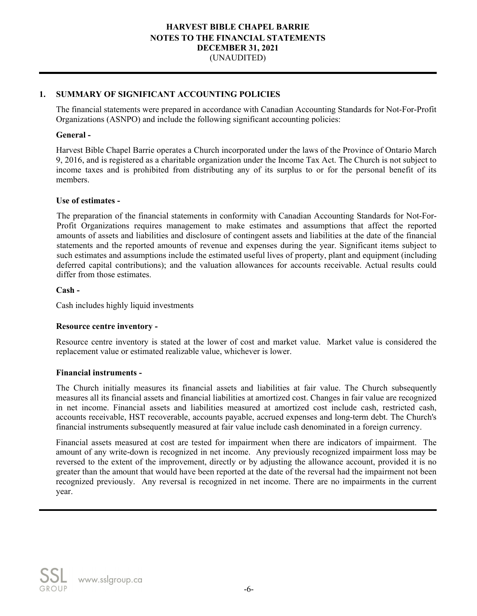## **1. SUMMARY OF SIGNIFICANT ACCOUNTING POLICIES**

The financial statements were prepared in accordance with Canadian Accounting Standards for Not-For-Profit Organizations (ASNPO) and include the following significant accounting policies:

#### **General -**

Harvest Bible Chapel Barrie operates a Church incorporated under the laws of the Province of Ontario March 9, 2016, and is registered as a charitable organization under the Income Tax Act. The Church is not subject to income taxes and is prohibited from distributing any of its surplus to or for the personal benefit of its members.

#### **Use of estimates -**

The preparation of the financial statements in conformity with Canadian Accounting Standards for Not-For-Profit Organizations requires management to make estimates and assumptions that affect the reported amounts of assets and liabilities and disclosure of contingent assets and liabilities at the date of the financial statements and the reported amounts of revenue and expenses during the year. Significant items subject to such estimates and assumptions include the estimated useful lives of property, plant and equipment (including deferred capital contributions); and the valuation allowances for accounts receivable. Actual results could differ from those estimates.

## **Cash -**

Cash includes highly liquid investments

## **Resource centre inventory -**

Resource centre inventory is stated at the lower of cost and market value. Market value is considered the replacement value or estimated realizable value, whichever is lower.

#### **Financial instruments -**

The Church initially measures its financial assets and liabilities at fair value. The Church subsequently measures all its financial assets and financial liabilities at amortized cost. Changes in fair value are recognized in net income. Financial assets and liabilities measured at amortized cost include cash, restricted cash, accounts receivable, HST recoverable, accounts payable, accrued expenses and long-term debt. The Church's financial instruments subsequently measured at fair value include cash denominated in a foreign currency.

Financial assets measured at cost are tested for impairment when there are indicators of impairment. The amount of any write-down is recognized in net income. Any previously recognized impairment loss may be reversed to the extent of the improvement, directly or by adjusting the allowance account, provided it is no greater than the amount that would have been reported at the date of the reversal had the impairment not been recognized previously. Any reversal is recognized in net income. There are no impairments in the current year.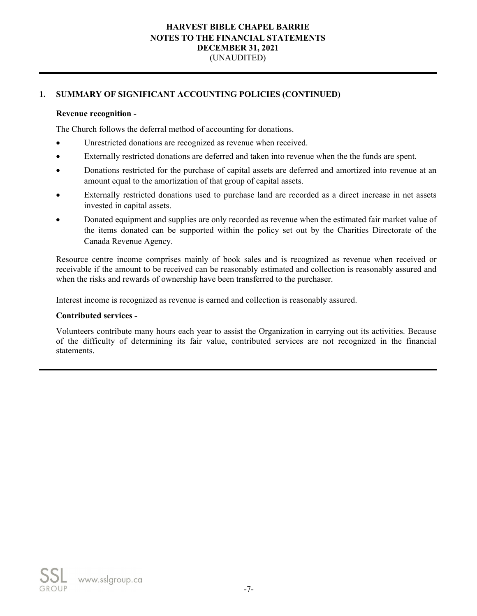# **1. SUMMARY OF SIGNIFICANT ACCOUNTING POLICIES (CONTINUED)**

## **Revenue recognition -**

The Church follows the deferral method of accounting for donations.

- Unrestricted donations are recognized as revenue when received.
- Externally restricted donations are deferred and taken into revenue when the the funds are spent.
- Donations restricted for the purchase of capital assets are deferred and amortized into revenue at an amount equal to the amortization of that group of capital assets.
- Externally restricted donations used to purchase land are recorded as a direct increase in net assets invested in capital assets.
- Donated equipment and supplies are only recorded as revenue when the estimated fair market value of the items donated can be supported within the policy set out by the Charities Directorate of the Canada Revenue Agency.

Resource centre income comprises mainly of book sales and is recognized as revenue when received or receivable if the amount to be received can be reasonably estimated and collection is reasonably assured and when the risks and rewards of ownership have been transferred to the purchaser.

Interest income is recognized as revenue is earned and collection is reasonably assured.

#### **Contributed services -**

Volunteers contribute many hours each year to assist the Organization in carrying out its activities. Because of the difficulty of determining its fair value, contributed services are not recognized in the financial statements.

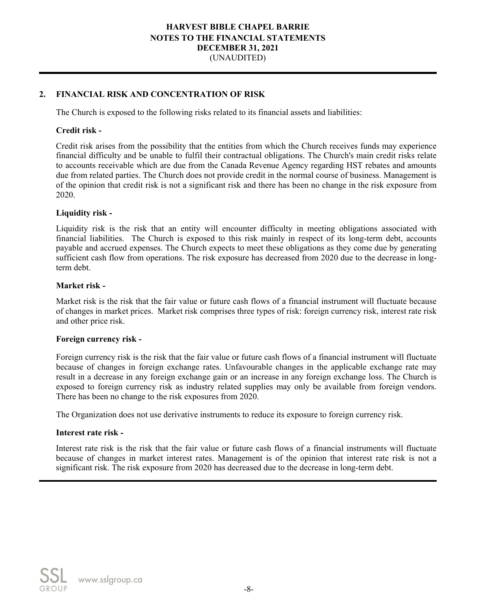## **2. FINANCIAL RISK AND CONCENTRATION OF RISK**

The Church is exposed to the following risks related to its financial assets and liabilities:

#### **Credit risk -**

Credit risk arises from the possibility that the entities from which the Church receives funds may experience financial difficulty and be unable to fulfil their contractual obligations. The Church's main credit risks relate to accounts receivable which are due from the Canada Revenue Agency regarding HST rebates and amounts due from related parties. The Church does not provide credit in the normal course of business. Management is of the opinion that credit risk is not a significant risk and there has been no change in the risk exposure from 2020.

#### **Liquidity risk -**

Liquidity risk is the risk that an entity will encounter difficulty in meeting obligations associated with financial liabilities. The Church is exposed to this risk mainly in respect of its long-term debt, accounts payable and accrued expenses. The Church expects to meet these obligations as they come due by generating sufficient cash flow from operations. The risk exposure has decreased from 2020 due to the decrease in longterm debt.

#### **Market risk -**

Market risk is the risk that the fair value or future cash flows of a financial instrument will fluctuate because of changes in market prices. Market risk comprises three types of risk: foreign currency risk, interest rate risk and other price risk.

#### **Foreign currency risk -**

Foreign currency risk is the risk that the fair value or future cash flows of a financial instrument will fluctuate because of changes in foreign exchange rates. Unfavourable changes in the applicable exchange rate may result in a decrease in any foreign exchange gain or an increase in any foreign exchange loss. The Church is exposed to foreign currency risk as industry related supplies may only be available from foreign vendors. There has been no change to the risk exposures from 2020.

The Organization does not use derivative instruments to reduce its exposure to foreign currency risk.

#### **Interest rate risk -**

Interest rate risk is the risk that the fair value or future cash flows of a financial instruments will fluctuate because of changes in market interest rates. Management is of the opinion that interest rate risk is not a significant risk. The risk exposure from 2020 has decreased due to the decrease in long-term debt.

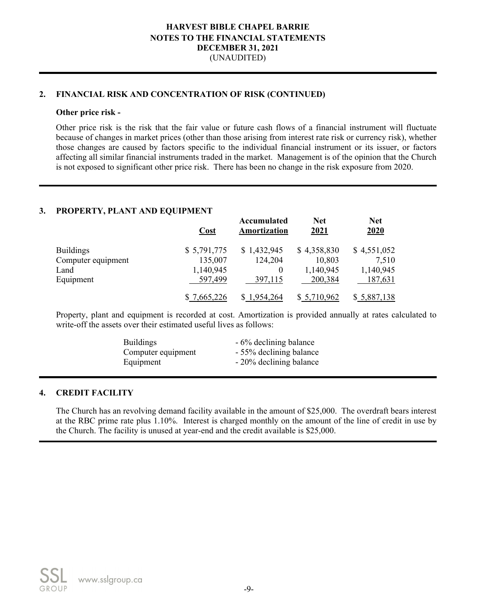## **2. FINANCIAL RISK AND CONCENTRATION OF RISK (CONTINUED)**

#### **Other price risk -**

Other price risk is the risk that the fair value or future cash flows of a financial instrument will fluctuate because of changes in market prices (other than those arising from interest rate risk or currency risk), whether those changes are caused by factors specific to the individual financial instrument or its issuer, or factors affecting all similar financial instruments traded in the market. Management is of the opinion that the Church is not exposed to significant other price risk. There has been no change in the risk exposure from 2020.

#### **3. PROPERTY, PLANT AND EQUIPMENT**

|                    | <b>Cost</b> | Accumulated<br>Amortization | <b>Net</b><br>2021 | <b>Net</b><br>2020 |
|--------------------|-------------|-----------------------------|--------------------|--------------------|
| <b>Buildings</b>   | \$5,791,775 | \$1,432,945                 | \$4,358,830        | \$4,551,052        |
| Computer equipment | 135,007     | 124,204                     | 10,803             | 7,510              |
| Land               | 1,140,945   |                             | 1,140,945          | 1,140,945          |
| Equipment          | 597,499     | 397,115                     | 200,384            | 187,631            |
|                    | \$7,665,226 | \$1,954,264                 | \$ 5,710,962       | \$ 5,887,138       |

Property, plant and equipment is recorded at cost. Amortization is provided annually at rates calculated to write-off the assets over their estimated useful lives as follows:

| <b>Buildings</b>   | - 6% declining balance  |
|--------------------|-------------------------|
| Computer equipment | - 55% declining balance |
| Equipment          | - 20% declining balance |

#### **4. CREDIT FACILITY**

The Church has an revolving demand facility available in the amount of \$25,000. The overdraft bears interest at the RBC prime rate plus 1.10%. Interest is charged monthly on the amount of the line of credit in use by the Church. The facility is unused at year-end and the credit available is \$25,000.

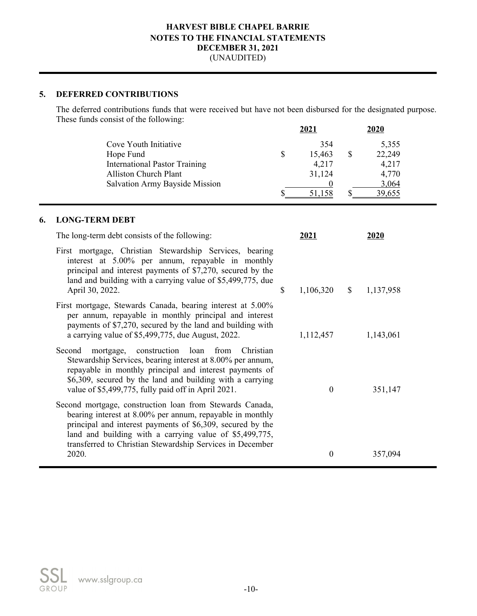## **5. DEFERRED CONTRIBUTIONS**

The deferred contributions funds that were received but have not been disbursed for the designated purpose. These funds consist of the following:

|                                      | 2021   | 2020   |  |
|--------------------------------------|--------|--------|--|
| Cove Youth Initiative                | 354    | 5,355  |  |
| Hope Fund                            | 15,463 | 22,249 |  |
| <b>International Pastor Training</b> | 4,217  | 4,217  |  |
| <b>Alliston Church Plant</b>         | 31,124 | 4,770  |  |
| Salvation Army Bayside Mission       |        | 3,064  |  |
|                                      |        |        |  |

# **6. LONG-TERM DEBT**

| The long-term debt consists of the following:                                                                                                                                                                                                                                                               | 2021             |              | 2020      |
|-------------------------------------------------------------------------------------------------------------------------------------------------------------------------------------------------------------------------------------------------------------------------------------------------------------|------------------|--------------|-----------|
| First mortgage, Christian Stewardship Services, bearing<br>interest at 5.00% per annum, repayable in monthly<br>principal and interest payments of \$7,270, secured by the<br>land and building with a carrying value of \$5,499,775, due<br>April 30, 2022.                                                | \$<br>1,106,320  | $\mathbb{S}$ | 1,137,958 |
| First mortgage, Stewards Canada, bearing interest at 5.00%<br>per annum, repayable in monthly principal and interest<br>payments of \$7,270, secured by the land and building with<br>a carrying value of \$5,499,775, due August, 2022.                                                                    | 1,112,457        |              | 1,143,061 |
| mortgage, construction loan from<br>Christian<br>Second<br>Stewardship Services, bearing interest at 8.00% per annum,<br>repayable in monthly principal and interest payments of<br>\$6,309, secured by the land and building with a carrying<br>value of \$5,499,775, fully paid off in April 2021.        | $\Omega$         |              | 351,147   |
| Second mortgage, construction loan from Stewards Canada,<br>bearing interest at 8.00% per annum, repayable in monthly<br>principal and interest payments of \$6,309, secured by the<br>land and building with a carrying value of \$5,499,775,<br>transferred to Christian Stewardship Services in December |                  |              |           |
| 2020.                                                                                                                                                                                                                                                                                                       | $\boldsymbol{0}$ |              | 357,094   |

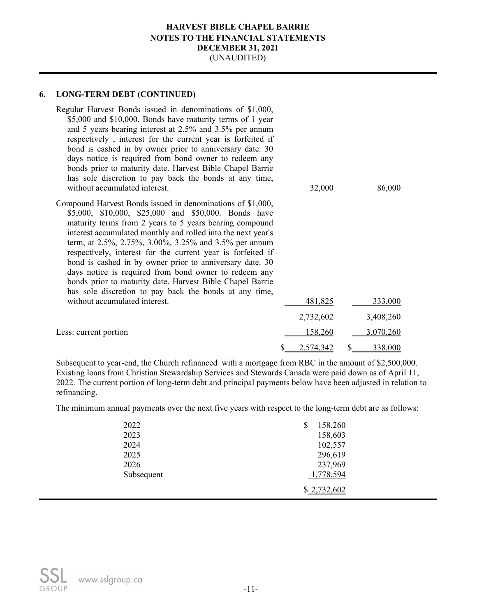# **6. LONG-TERM DEBT (CONTINUED)**

| Regular Harvest Bonds issued in denominations of \$1,000,<br>\$5,000 and \$10,000. Bonds have maturity terms of 1 year<br>and 5 years bearing interest at 2.5% and 3.5% per annum<br>respectively, interest for the current year is forfeited if<br>bond is cashed in by owner prior to anniversary date. 30<br>days notice is required from bond owner to redeem any<br>bonds prior to maturity date. Harvest Bible Chapel Barrie<br>has sole discretion to pay back the bonds at any time,<br>without accumulated interest.                                                                                     | 32,000    | 86,000    |
|-------------------------------------------------------------------------------------------------------------------------------------------------------------------------------------------------------------------------------------------------------------------------------------------------------------------------------------------------------------------------------------------------------------------------------------------------------------------------------------------------------------------------------------------------------------------------------------------------------------------|-----------|-----------|
| Compound Harvest Bonds issued in denominations of \$1,000,<br>\$5,000, \$10,000, \$25,000 and \$50,000. Bonds have<br>maturity terms from 2 years to 5 years bearing compound<br>interest accumulated monthly and rolled into the next year's<br>term, at 2.5%, 2.75%, 3.00%, 3.25% and 3.5% per annum<br>respectively, interest for the current year is forfeited if<br>bond is cashed in by owner prior to anniversary date. 30<br>days notice is required from bond owner to redeem any<br>bonds prior to maturity date. Harvest Bible Chapel Barrie<br>has sole discretion to pay back the bonds at any time, |           |           |
| without accumulated interest.                                                                                                                                                                                                                                                                                                                                                                                                                                                                                                                                                                                     | 481,825   | 333,000   |
|                                                                                                                                                                                                                                                                                                                                                                                                                                                                                                                                                                                                                   | 2,732,602 | 3,408,260 |
| Less: current portion                                                                                                                                                                                                                                                                                                                                                                                                                                                                                                                                                                                             | 158,260   | 3,070,260 |
|                                                                                                                                                                                                                                                                                                                                                                                                                                                                                                                                                                                                                   | 2,574,342 | 338,000   |

Subsequent to year-end, the Church refinanced with a mortgage from RBC in the amount of \$2,500,000. Existing loans from Christian Stewardship Services and Stewards Canada were paid down as of April 11, 2022. The current portion of long-term debt and principal payments below have been adjusted in relation to refinancing.

The minimum annual payments over the next five years with respect to the long-term debt are as follows:

| 2022       | 158,260     |  |
|------------|-------------|--|
| 2023       | 158,603     |  |
| 2024       | 102,557     |  |
| 2025       | 296,619     |  |
| 2026       | 237,969     |  |
| Subsequent | 1,778,594   |  |
|            | \$2,732,602 |  |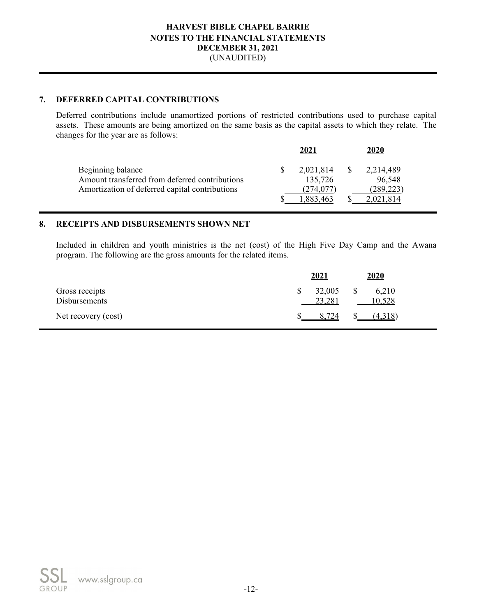## **7. DEFERRED CAPITAL CONTRIBUTIONS**

Deferred contributions include unamortized portions of restricted contributions used to purchase capital assets. These amounts are being amortized on the same basis as the capital assets to which they relate. The changes for the year are as follows:

|                                                | 2021      | 2020       |  |
|------------------------------------------------|-----------|------------|--|
| Beginning balance                              | 2,021,814 | 2,214,489  |  |
| Amount transferred from deferred contributions | 135,726   | 96,548     |  |
| Amortization of deferred capital contributions | (274,077) | (289, 223) |  |
|                                                | 1.883.463 | 2,021,814  |  |
|                                                |           |            |  |

## **8. RECEIPTS AND DISBURSEMENTS SHOWN NET**

Included in children and youth ministries is the net (cost) of the High Five Day Camp and the Awana program. The following are the gross amounts for the related items.

|                                 | 2021 |                  | 2020         |                 |
|---------------------------------|------|------------------|--------------|-----------------|
| Gross receipts<br>Disbursements |      | 32,005<br>23,281 | $\mathbb{S}$ | 6,210<br>10,528 |
| Net recovery (cost)             |      | 8,724            |              | (4,318)         |